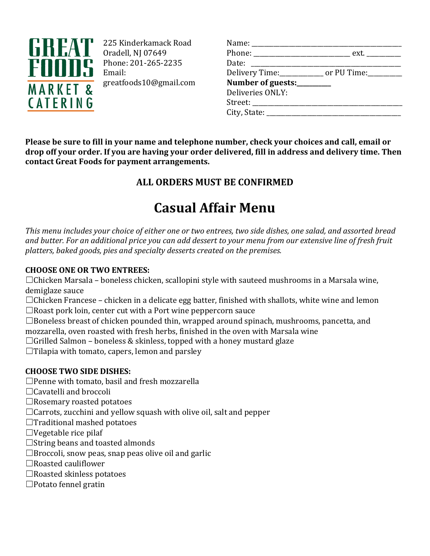

225 Kinderkamack Road Oradell, NJ 07649 Phone: 201-265-2235 Email: greatfoods10@gmail.com

| Name: _________________          |                                                           |
|----------------------------------|-----------------------------------------------------------|
|                                  | Phone: _________________________________ ext. ___________ |
| Date: ____________________       |                                                           |
|                                  | Delivery Time:_____________ or PU Time:_________          |
| Number of guests:________        |                                                           |
| Deliveries ONLY:                 |                                                           |
| Street: ________________________ |                                                           |
| City, State: $\qquad \qquad$     |                                                           |
|                                  |                                                           |

**Please be sure to fill in your name and telephone number, check your choices and call, email or drop off your order. If you are having your order delivered, fill in address and delivery time. Then contact Great Foods for payment arrangements.**

# **ALL ORDERS MUST BE CONFIRMED**

# **Casual Affair Menu**

*This menu includes your choice of either one or two entrees, two side dishes, one salad, and assorted bread and butter. For an additional price you can add dessert to your menu from our extensive line of fresh fruit platters, baked goods, pies and specialty desserts created on the premises.*

# **CHOOSE ONE OR TWO ENTREES:**

 $\Box$ Chicken Marsala – boneless chicken, scallopini style with sauteed mushrooms in a Marsala wine, demiglaze sauce

 $\Box$ Chicken Francese – chicken in a delicate egg batter, finished with shallots, white wine and lemon  $\Box$  Roast pork loin, center cut with a Port wine peppercorn sauce

 $\Box$  Boneless breast of chicken pounded thin, wrapped around spinach, mushrooms, pancetta, and mozzarella, oven roasted with fresh herbs, finished in the oven with Marsala wine

 $\Box$ Grilled Salmon – boneless & skinless, topped with a honey mustard glaze

 $\Box$  Tilapia with tomato, capers, lemon and parsley

# **CHOOSE TWO SIDE DISHES:**

 $\Box$  Penne with tomato, basil and fresh mozzarella

- $\Box$  Cavatelli and broccoli
- $\Box$  Rosemary roasted potatoes
- $\Box$  Carrots, zucchini and yellow squash with olive oil, salt and pepper
- $\Box$  Traditional mashed potatoes
- $\Box$  Vegetable rice pilaf
- $\Box$ String beans and toasted almonds
- $\Box$  Broccoli, snow peas, snap peas olive oil and garlic
- $\Box$  Roasted cauliflower
- $\Box$  Roasted skinless potatoes
- $\Box$ Potato fennel gratin